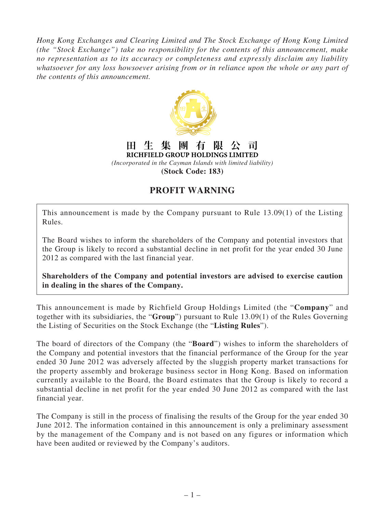*Hong Kong Exchanges and Clearing Limited and The Stock Exchange of Hong Kong Limited (the "Stock Exchange") take no responsibility for the contents of this announcement, make no representation as to its accuracy or completeness and expressly disclaim any liability whatsoever for any loss howsoever arising from or in reliance upon the whole or any part of the contents of this announcement.*



## **PROFIT WARNING**

This announcement is made by the Company pursuant to Rule 13.09(1) of the Listing Rules.

The Board wishes to inform the shareholders of the Company and potential investors that the Group is likely to record a substantial decline in net profit for the year ended 30 June 2012 as compared with the last financial year.

**Shareholders of the Company and potential investors are advised to exercise caution in dealing in the shares of the Company.**

This announcement is made by Richfield Group Holdings Limited (the "**Company**" and together with its subsidiaries, the "**Group**") pursuant to Rule 13.09(1) of the Rules Governing the Listing of Securities on the Stock Exchange (the "**Listing Rules**").

The board of directors of the Company (the "**Board**") wishes to inform the shareholders of the Company and potential investors that the financial performance of the Group for the year ended 30 June 2012 was adversely affected by the sluggish property market transactions for the property assembly and brokerage business sector in Hong Kong. Based on information currently available to the Board, the Board estimates that the Group is likely to record a substantial decline in net profit for the year ended 30 June 2012 as compared with the last financial year.

The Company is still in the process of finalising the results of the Group for the year ended 30 June 2012. The information contained in this announcement is only a preliminary assessment by the management of the Company and is not based on any figures or information which have been audited or reviewed by the Company's auditors.